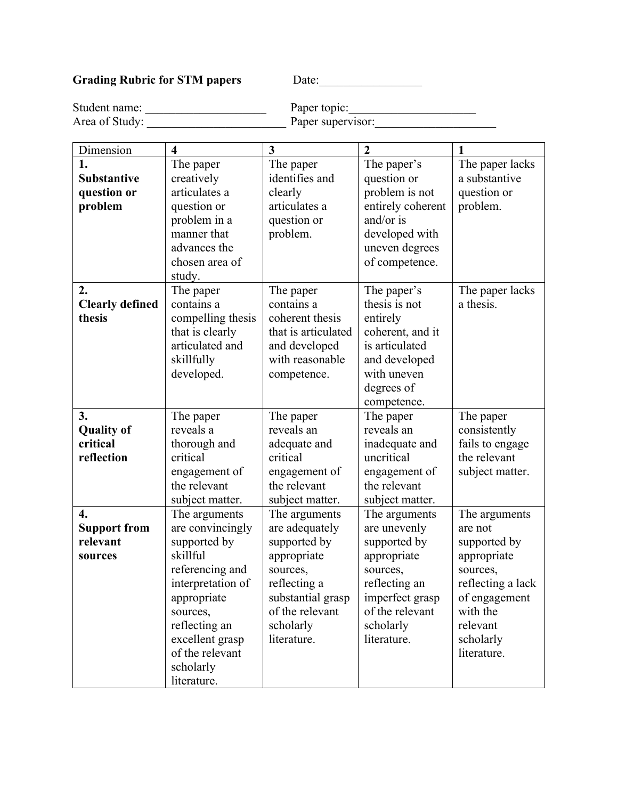## Grading Rubric for STM papers Date: Date:

Student name: \_\_\_\_\_\_\_\_\_\_\_\_\_\_\_\_\_\_\_\_ Paper topic:\_\_\_\_\_\_\_\_\_\_\_\_\_\_\_\_\_\_\_\_\_ Area of Study: The Paper supervisor:

| Dimension              | $\overline{\mathbf{4}}$ | 3                   | $\overline{2}$    | $\mathbf{1}$      |
|------------------------|-------------------------|---------------------|-------------------|-------------------|
| 1.                     | The paper               | The paper           | The paper's       | The paper lacks   |
| <b>Substantive</b>     | creatively              | identifies and      | question or       | a substantive     |
| question or            | articulates a           | clearly             | problem is not    | question or       |
| problem                | question or             | articulates a       | entirely coherent | problem.          |
|                        | problem in a            | question or         | and/or is         |                   |
|                        | manner that             | problem.            | developed with    |                   |
|                        | advances the            |                     | uneven degrees    |                   |
|                        | chosen area of          |                     | of competence.    |                   |
|                        | study.                  |                     |                   |                   |
| 2.                     | The paper               | The paper           | The paper's       | The paper lacks   |
| <b>Clearly defined</b> | contains a              | contains a          | thesis is not     | a thesis.         |
| thesis                 | compelling thesis       | coherent thesis     | entirely          |                   |
|                        | that is clearly         | that is articulated | coherent, and it  |                   |
|                        | articulated and         | and developed       | is articulated    |                   |
|                        | skillfully              | with reasonable     | and developed     |                   |
|                        | developed.              | competence.         | with uneven       |                   |
|                        |                         |                     | degrees of        |                   |
|                        |                         |                     | competence.       |                   |
| 3.                     | The paper               | The paper           | The paper         | The paper         |
| <b>Quality of</b>      | reveals a               | reveals an          | reveals an        | consistently      |
| critical               | thorough and            | adequate and        | inadequate and    | fails to engage   |
| reflection             | critical                | critical            | uncritical        | the relevant      |
|                        | engagement of           | engagement of       | engagement of     | subject matter.   |
|                        | the relevant            | the relevant        | the relevant      |                   |
|                        | subject matter.         | subject matter.     | subject matter.   |                   |
| $\overline{4}$ .       | The arguments           | The arguments       | The arguments     | The arguments     |
| <b>Support from</b>    | are convincingly        | are adequately      | are unevenly      | are not           |
| relevant               | supported by            | supported by        | supported by      | supported by      |
| sources                | skillful                | appropriate         | appropriate       | appropriate       |
|                        | referencing and         | sources,            | sources,          | sources,          |
|                        | interpretation of       | reflecting a        | reflecting an     | reflecting a lack |
|                        | appropriate             | substantial grasp   | imperfect grasp   | of engagement     |
|                        | sources,                | of the relevant     | of the relevant   | with the          |
|                        | reflecting an           | scholarly           | scholarly         | relevant          |
|                        | excellent grasp         | literature.         | literature.       | scholarly         |
|                        | of the relevant         |                     |                   | literature.       |
|                        | scholarly               |                     |                   |                   |
|                        | literature.             |                     |                   |                   |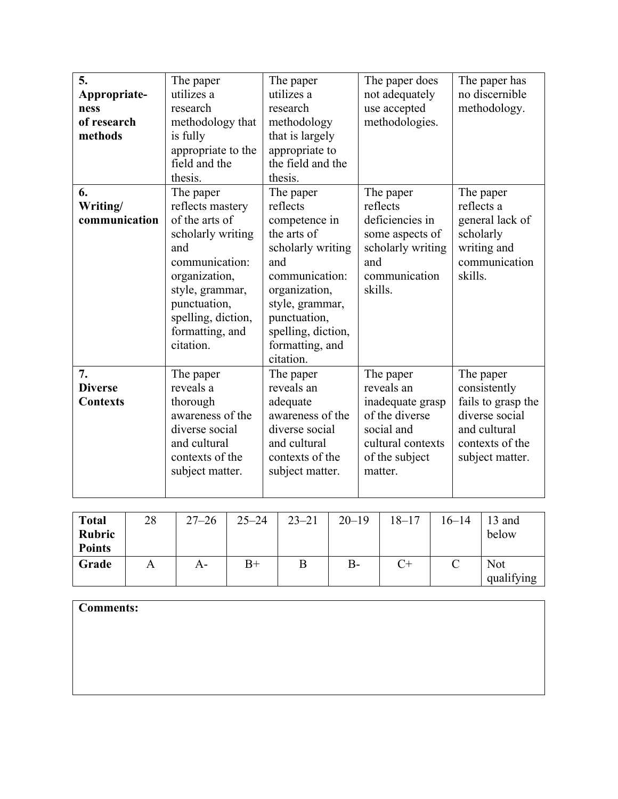| 5.              | The paper          | The paper          | The paper does    | The paper has      |
|-----------------|--------------------|--------------------|-------------------|--------------------|
| Appropriate-    | utilizes a         | utilizes a         | not adequately    | no discernible     |
| ness            | research           | research           | use accepted      | methodology.       |
| of research     | methodology that   | methodology        | methodologies.    |                    |
| methods         | is fully           | that is largely    |                   |                    |
|                 | appropriate to the | appropriate to     |                   |                    |
|                 | field and the      | the field and the  |                   |                    |
|                 | thesis.            | thesis.            |                   |                    |
| 6.              | The paper          | The paper          | The paper         | The paper          |
| Writing/        | reflects mastery   | reflects           | reflects          | reflects a         |
| communication   | of the arts of     | competence in      | deficiencies in   | general lack of    |
|                 | scholarly writing  | the arts of        | some aspects of   | scholarly          |
|                 | and                | scholarly writing  | scholarly writing | writing and        |
|                 | communication:     | and                | and               | communication      |
|                 | organization,      | communication:     | communication     | skills.            |
|                 | style, grammar,    | organization,      | skills.           |                    |
|                 | punctuation,       | style, grammar,    |                   |                    |
|                 | spelling, diction, | punctuation,       |                   |                    |
|                 | formatting, and    | spelling, diction, |                   |                    |
|                 | citation.          | formatting, and    |                   |                    |
|                 |                    | citation.          |                   |                    |
| 7.              | The paper          | The paper          | The paper         | The paper          |
| <b>Diverse</b>  | reveals a          | reveals an         | reveals an        | consistently       |
| <b>Contexts</b> | thorough           | adequate           | inadequate grasp  | fails to grasp the |
|                 | awareness of the   | awareness of the   | of the diverse    | diverse social     |
|                 | diverse social     | diverse social     | social and        | and cultural       |
|                 | and cultural       | and cultural       | cultural contexts | contexts of the    |
|                 | contexts of the    | contexts of the    | of the subject    | subject matter.    |
|                 | subject matter.    | subject matter.    | matter.           |                    |
|                 |                    |                    |                   |                    |

| <b>Total</b><br>Rubric<br><b>Points</b> | 28 | $27 - 26$ | $25 - 24$ | $23 - 21$ | $20 - 19$ | $18 - 17$ | 16–14 | 13 and<br>below          |
|-----------------------------------------|----|-----------|-----------|-----------|-----------|-----------|-------|--------------------------|
| Grade                                   | А  | A-        | $B+$      | B         | $B -$     |           |       | <b>Not</b><br>qualifying |

| Comments: |  |  |
|-----------|--|--|
|           |  |  |
|           |  |  |
|           |  |  |
|           |  |  |